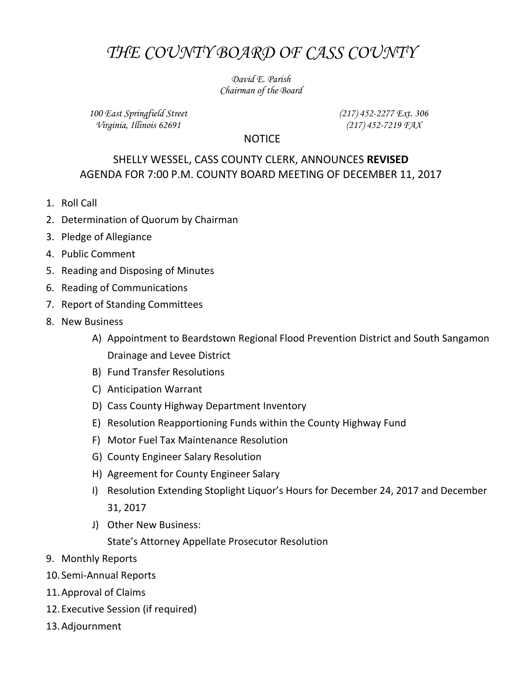## *THE COUNTY BOARD OF CASS COUNTY*

*David E. Parish Chairman of the Board*

*100 East Springfield Street Virginia, Illinois 62691*

*(217) 452-2277 Ext. 306 (217) 452-7219 FAX*

## NOTICE

## SHELLY WESSEL, CASS COUNTY CLERK, ANNOUNCES **REVISED** AGENDA FOR 7:00 P.M. COUNTY BOARD MEETING OF DECEMBER 11, 2017

- 1. Roll Call
- 2. Determination of Quorum by Chairman
- 3. Pledge of Allegiance
- 4. Public Comment
- 5. Reading and Disposing of Minutes
- 6. Reading of Communications
- 7. Report of Standing Committees
- 8. New Business
	- A) Appointment to Beardstown Regional Flood Prevention District and South Sangamon Drainage and Levee District
	- B) Fund Transfer Resolutions
	- C) Anticipation Warrant
	- D) Cass County Highway Department Inventory
	- E) Resolution Reapportioning Funds within the County Highway Fund
	- F) Motor Fuel Tax Maintenance Resolution
	- G) County Engineer Salary Resolution
	- H) Agreement for County Engineer Salary
	- I) Resolution Extending Stoplight Liquor's Hours for December 24, 2017 and December 31, 2017
	- J) Other New Business:

State's Attorney Appellate Prosecutor Resolution

- 9. Monthly Reports
- 10. Semi-Annual Reports
- 11.Approval of Claims
- 12.Executive Session (if required)
- 13.Adjournment